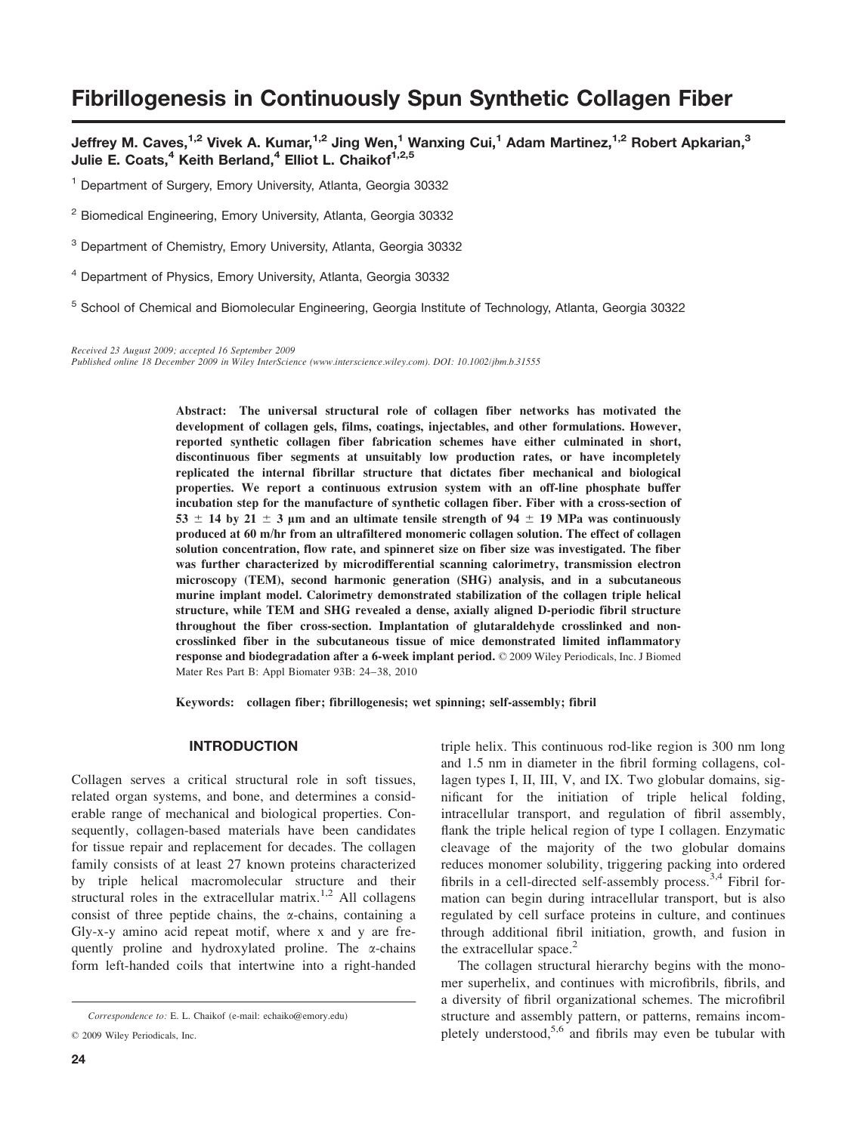# Fibrillogenesis in Continuously Spun Synthetic Collagen Fiber

Jeffrey M. Caves,<sup>1,2</sup> Vivek A. Kumar,<sup>1,2</sup> Jing Wen,<sup>1</sup> Wanxing Cui,<sup>1</sup> Adam Martinez,<sup>1,2</sup> Robert Apkarian,<sup>3</sup> Julie E. Coats,<sup>4</sup> Keith Berland,<sup>4</sup> Elliot L. Chaikof<sup>1,2,5</sup>

<sup>1</sup> Department of Surgery, Emory University, Atlanta, Georgia 30332

<sup>2</sup> Biomedical Engineering, Emory University, Atlanta, Georgia 30332

<sup>3</sup> Department of Chemistry, Emory University, Atlanta, Georgia 30332

<sup>4</sup> Department of Physics, Emory University, Atlanta, Georgia 30332

<sup>5</sup> School of Chemical and Biomolecular Engineering, Georgia Institute of Technology, Atlanta, Georgia 30322

Received 23 August 2009; accepted 16 September 2009 Published online 18 December 2009 in Wiley InterScience (www.interscience.wiley.com). DOI: 10.1002/jbm.b.31555

> Abstract: The universal structural role of collagen fiber networks has motivated the development of collagen gels, films, coatings, injectables, and other formulations. However, reported synthetic collagen fiber fabrication schemes have either culminated in short, discontinuous fiber segments at unsuitably low production rates, or have incompletely replicated the internal fibrillar structure that dictates fiber mechanical and biological properties. We report a continuous extrusion system with an off-line phosphate buffer incubation step for the manufacture of synthetic collagen fiber. Fiber with a cross-section of 53  $\pm$  14 by 21  $\pm$  3 µm and an ultimate tensile strength of 94  $\pm$  19 MPa was continuously produced at 60 m/hr from an ultrafiltered monomeric collagen solution. The effect of collagen solution concentration, flow rate, and spinneret size on fiber size was investigated. The fiber was further characterized by microdifferential scanning calorimetry, transmission electron microscopy (TEM), second harmonic generation (SHG) analysis, and in a subcutaneous murine implant model. Calorimetry demonstrated stabilization of the collagen triple helical structure, while TEM and SHG revealed a dense, axially aligned D-periodic fibril structure throughout the fiber cross-section. Implantation of glutaraldehyde crosslinked and noncrosslinked fiber in the subcutaneous tissue of mice demonstrated limited inflammatory response and biodegradation after a 6-week implant period.  $\odot$  2009 Wiley Periodicals, Inc. J Biomed Mater Res Part B: Appl Biomater 93B: 24–38, 2010

Keywords: collagen fiber; fibrillogenesis; wet spinning; self-assembly; fibril

# INTRODUCTION

Collagen serves a critical structural role in soft tissues, related organ systems, and bone, and determines a considerable range of mechanical and biological properties. Consequently, collagen-based materials have been candidates for tissue repair and replacement for decades. The collagen family consists of at least 27 known proteins characterized by triple helical macromolecular structure and their structural roles in the extracellular matrix.<sup>1,2</sup> All collagens consist of three peptide chains, the  $\alpha$ -chains, containing a Gly-x-y amino acid repeat motif, where x and y are frequently proline and hydroxylated proline. The  $\alpha$ -chains form left-handed coils that intertwine into a right-handed

triple helix. This continuous rod-like region is 300 nm long and 1.5 nm in diameter in the fibril forming collagens, collagen types I, II, III, V, and IX. Two globular domains, significant for the initiation of triple helical folding, intracellular transport, and regulation of fibril assembly, flank the triple helical region of type I collagen. Enzymatic cleavage of the majority of the two globular domains reduces monomer solubility, triggering packing into ordered fibrils in a cell-directed self-assembly process.<sup>3,4</sup> Fibril formation can begin during intracellular transport, but is also regulated by cell surface proteins in culture, and continues through additional fibril initiation, growth, and fusion in the extracellular space. $<sup>2</sup>$ </sup>

The collagen structural hierarchy begins with the monomer superhelix, and continues with microfibrils, fibrils, and a diversity of fibril organizational schemes. The microfibril structure and assembly pattern, or patterns, remains incompletely understood,<sup>5,6</sup> and fibrils may even be tubular with

Correspondence to: E. L. Chaikof (e-mail: echaiko@emory.edu)

 $©$  2009 Wiley Periodicals, Inc.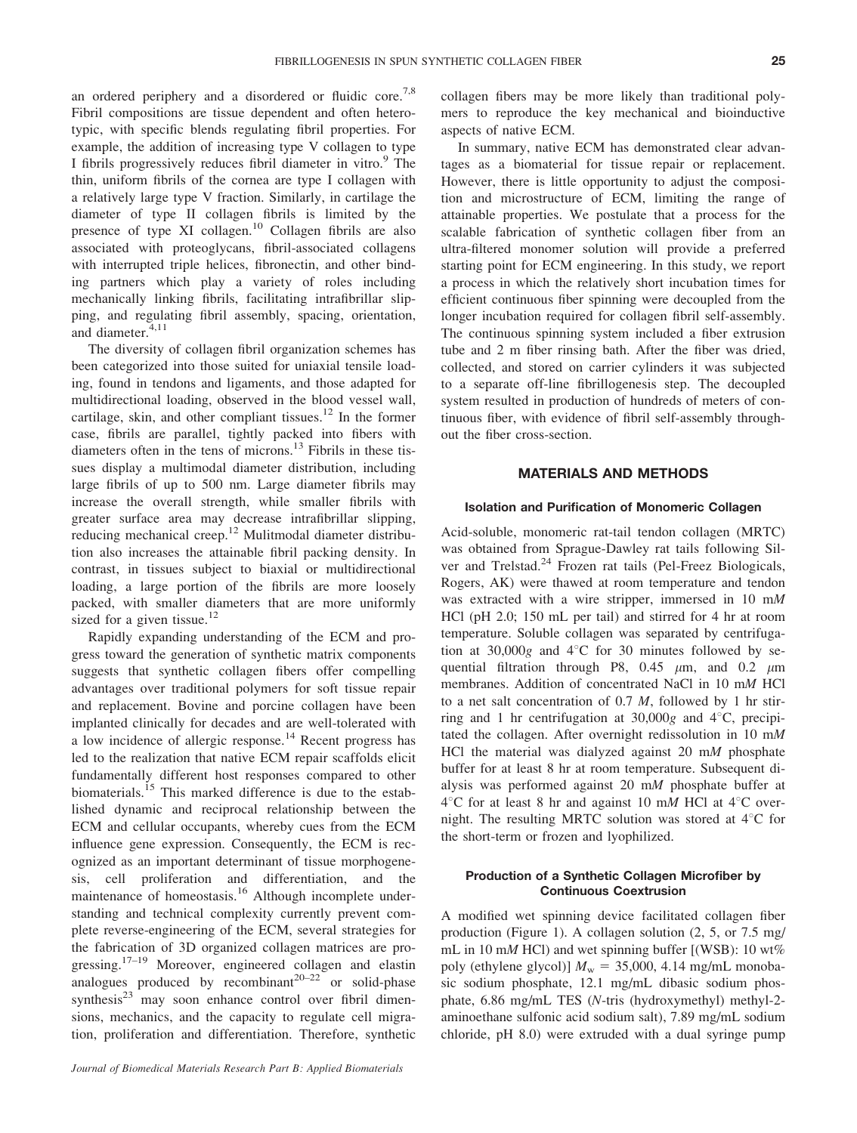an ordered periphery and a disordered or fluidic core.<sup>7,8</sup> Fibril compositions are tissue dependent and often heterotypic, with specific blends regulating fibril properties. For example, the addition of increasing type V collagen to type I fibrils progressively reduces fibril diameter in vitro.<sup>9</sup> The thin, uniform fibrils of the cornea are type I collagen with a relatively large type V fraction. Similarly, in cartilage the diameter of type II collagen fibrils is limited by the presence of type XI collagen.<sup>10</sup> Collagen fibrils are also associated with proteoglycans, fibril-associated collagens with interrupted triple helices, fibronectin, and other binding partners which play a variety of roles including mechanically linking fibrils, facilitating intrafibrillar slipping, and regulating fibril assembly, spacing, orientation, and diameter.<sup>4,11</sup>

The diversity of collagen fibril organization schemes has been categorized into those suited for uniaxial tensile loading, found in tendons and ligaments, and those adapted for multidirectional loading, observed in the blood vessel wall, cartilage, skin, and other compliant tissues.<sup>12</sup> In the former case, fibrils are parallel, tightly packed into fibers with diameters often in the tens of microns.<sup>13</sup> Fibrils in these tissues display a multimodal diameter distribution, including large fibrils of up to 500 nm. Large diameter fibrils may increase the overall strength, while smaller fibrils with greater surface area may decrease intrafibrillar slipping, reducing mechanical creep.<sup>12</sup> Mulitmodal diameter distribution also increases the attainable fibril packing density. In contrast, in tissues subject to biaxial or multidirectional loading, a large portion of the fibrils are more loosely packed, with smaller diameters that are more uniformly sized for a given tissue.<sup>12</sup>

Rapidly expanding understanding of the ECM and progress toward the generation of synthetic matrix components suggests that synthetic collagen fibers offer compelling advantages over traditional polymers for soft tissue repair and replacement. Bovine and porcine collagen have been implanted clinically for decades and are well-tolerated with a low incidence of allergic response.<sup>14</sup> Recent progress has led to the realization that native ECM repair scaffolds elicit fundamentally different host responses compared to other biomaterials.<sup>15</sup> This marked difference is due to the established dynamic and reciprocal relationship between the ECM and cellular occupants, whereby cues from the ECM influence gene expression. Consequently, the ECM is recognized as an important determinant of tissue morphogenesis, cell proliferation and differentiation, and the maintenance of homeostasis.<sup>16</sup> Although incomplete understanding and technical complexity currently prevent complete reverse-engineering of the ECM, several strategies for the fabrication of 3D organized collagen matrices are progressing.<sup>17–19</sup> Moreover, engineered collagen and elastin analogues produced by recombinant<sup>20–22</sup> or solid-phase synthesis $^{23}$  may soon enhance control over fibril dimensions, mechanics, and the capacity to regulate cell migration, proliferation and differentiation. Therefore, synthetic

collagen fibers may be more likely than traditional polymers to reproduce the key mechanical and bioinductive aspects of native ECM.

In summary, native ECM has demonstrated clear advantages as a biomaterial for tissue repair or replacement. However, there is little opportunity to adjust the composition and microstructure of ECM, limiting the range of attainable properties. We postulate that a process for the scalable fabrication of synthetic collagen fiber from an ultra-filtered monomer solution will provide a preferred starting point for ECM engineering. In this study, we report a process in which the relatively short incubation times for efficient continuous fiber spinning were decoupled from the longer incubation required for collagen fibril self-assembly. The continuous spinning system included a fiber extrusion tube and 2 m fiber rinsing bath. After the fiber was dried, collected, and stored on carrier cylinders it was subjected to a separate off-line fibrillogenesis step. The decoupled system resulted in production of hundreds of meters of continuous fiber, with evidence of fibril self-assembly throughout the fiber cross-section.

# MATERIALS AND METHODS

### Isolation and Purification of Monomeric Collagen

Acid-soluble, monomeric rat-tail tendon collagen (MRTC) was obtained from Sprague-Dawley rat tails following Silver and Trelstad.<sup>24</sup> Frozen rat tails (Pel-Freez Biologicals, Rogers, AK) were thawed at room temperature and tendon was extracted with a wire stripper, immersed in 10 mM HCl (pH 2.0; 150 mL per tail) and stirred for 4 hr at room temperature. Soluble collagen was separated by centrifugation at  $30,000g$  and  $4^{\circ}$ C for 30 minutes followed by sequential filtration through P8, 0.45  $\mu$ m, and 0.2  $\mu$ m membranes. Addition of concentrated NaCl in 10 mM HCl to a net salt concentration of 0.7 M, followed by 1 hr stirring and 1 hr centrifugation at  $30,000g$  and  $4^{\circ}$ C, precipitated the collagen. After overnight redissolution in 10 mM HCl the material was dialyzed against  $20 \text{ mM}$  phosphate buffer for at least 8 hr at room temperature. Subsequent dialysis was performed against 20 mM phosphate buffer at  $4^{\circ}$ C for at least 8 hr and against 10 mM HCl at  $4^{\circ}$ C overnight. The resulting MRTC solution was stored at  $4^{\circ}$ C for the short-term or frozen and lyophilized.

### Production of a Synthetic Collagen Microfiber by Continuous Coextrusion

A modified wet spinning device facilitated collagen fiber production (Figure 1). A collagen solution (2, 5, or 7.5 mg/ mL in 10 mM HCl) and wet spinning buffer  $[(WSB): 10 wt\%]$ poly (ethylene glycol)]  $M_w = 35,000, 4.14$  mg/mL monobasic sodium phosphate, 12.1 mg/mL dibasic sodium phosphate, 6.86 mg/mL TES (N-tris (hydroxymethyl) methyl-2 aminoethane sulfonic acid sodium salt), 7.89 mg/mL sodium chloride, pH 8.0) were extruded with a dual syringe pump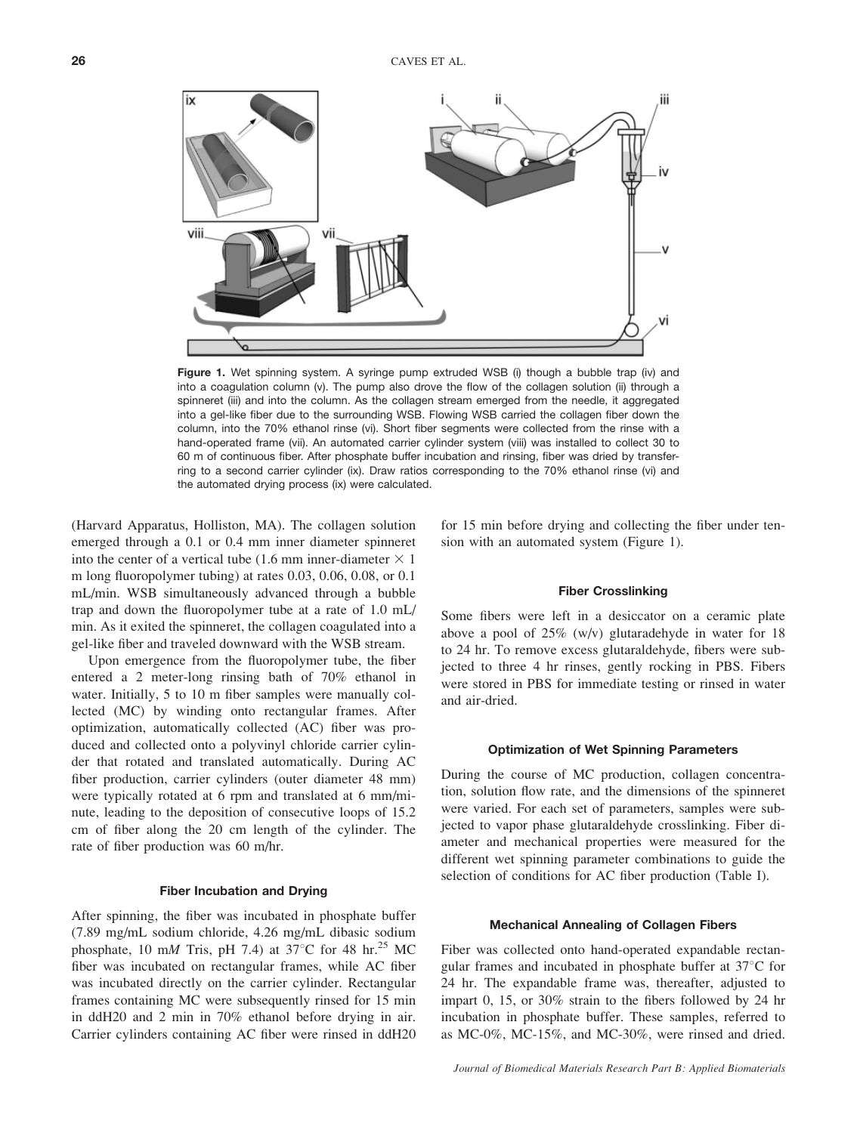

Figure 1. Wet spinning system. A syringe pump extruded WSB (i) though a bubble trap (iv) and into a coagulation column (v). The pump also drove the flow of the collagen solution (ii) through a spinneret (iii) and into the column. As the collagen stream emerged from the needle, it aggregated into a gel-like fiber due to the surrounding WSB. Flowing WSB carried the collagen fiber down the column, into the 70% ethanol rinse (vi). Short fiber segments were collected from the rinse with a hand-operated frame (vii). An automated carrier cylinder system (viii) was installed to collect 30 to 60 m of continuous fiber. After phosphate buffer incubation and rinsing, fiber was dried by transferring to a second carrier cylinder (ix). Draw ratios corresponding to the 70% ethanol rinse (vi) and the automated drying process (ix) were calculated.

(Harvard Apparatus, Holliston, MA). The collagen solution emerged through a 0.1 or 0.4 mm inner diameter spinneret into the center of a vertical tube (1.6 mm inner-diameter  $\times$  1 m long fluoropolymer tubing) at rates 0.03, 0.06, 0.08, or 0.1 mL/min. WSB simultaneously advanced through a bubble trap and down the fluoropolymer tube at a rate of 1.0 mL/ min. As it exited the spinneret, the collagen coagulated into a gel-like fiber and traveled downward with the WSB stream.

Upon emergence from the fluoropolymer tube, the fiber entered a 2 meter-long rinsing bath of 70% ethanol in water. Initially, 5 to 10 m fiber samples were manually collected (MC) by winding onto rectangular frames. After optimization, automatically collected (AC) fiber was produced and collected onto a polyvinyl chloride carrier cylinder that rotated and translated automatically. During AC fiber production, carrier cylinders (outer diameter 48 mm) were typically rotated at 6 rpm and translated at 6 mm/minute, leading to the deposition of consecutive loops of 15.2 cm of fiber along the 20 cm length of the cylinder. The rate of fiber production was 60 m/hr.

#### Fiber Incubation and Drying

After spinning, the fiber was incubated in phosphate buffer (7.89 mg/mL sodium chloride, 4.26 mg/mL dibasic sodium phosphate, 10 mM Tris, pH 7.4) at 37<sup>o</sup>C for 48 hr.<sup>25</sup> MC fiber was incubated on rectangular frames, while AC fiber was incubated directly on the carrier cylinder. Rectangular frames containing MC were subsequently rinsed for 15 min in ddH20 and 2 min in 70% ethanol before drying in air. Carrier cylinders containing AC fiber were rinsed in ddH20 for 15 min before drying and collecting the fiber under tension with an automated system (Figure 1).

### Fiber Crosslinking

Some fibers were left in a desiccator on a ceramic plate above a pool of 25% (w/v) glutaradehyde in water for 18 to 24 hr. To remove excess glutaraldehyde, fibers were subjected to three 4 hr rinses, gently rocking in PBS. Fibers were stored in PBS for immediate testing or rinsed in water and air-dried.

#### Optimization of Wet Spinning Parameters

During the course of MC production, collagen concentration, solution flow rate, and the dimensions of the spinneret were varied. For each set of parameters, samples were subjected to vapor phase glutaraldehyde crosslinking. Fiber diameter and mechanical properties were measured for the different wet spinning parameter combinations to guide the selection of conditions for AC fiber production (Table I).

#### Mechanical Annealing of Collagen Fibers

Fiber was collected onto hand-operated expandable rectangular frames and incubated in phosphate buffer at  $37^{\circ}$ C for 24 hr. The expandable frame was, thereafter, adjusted to impart 0, 15, or 30% strain to the fibers followed by 24 hr incubation in phosphate buffer. These samples, referred to as MC-0%, MC-15%, and MC-30%, were rinsed and dried.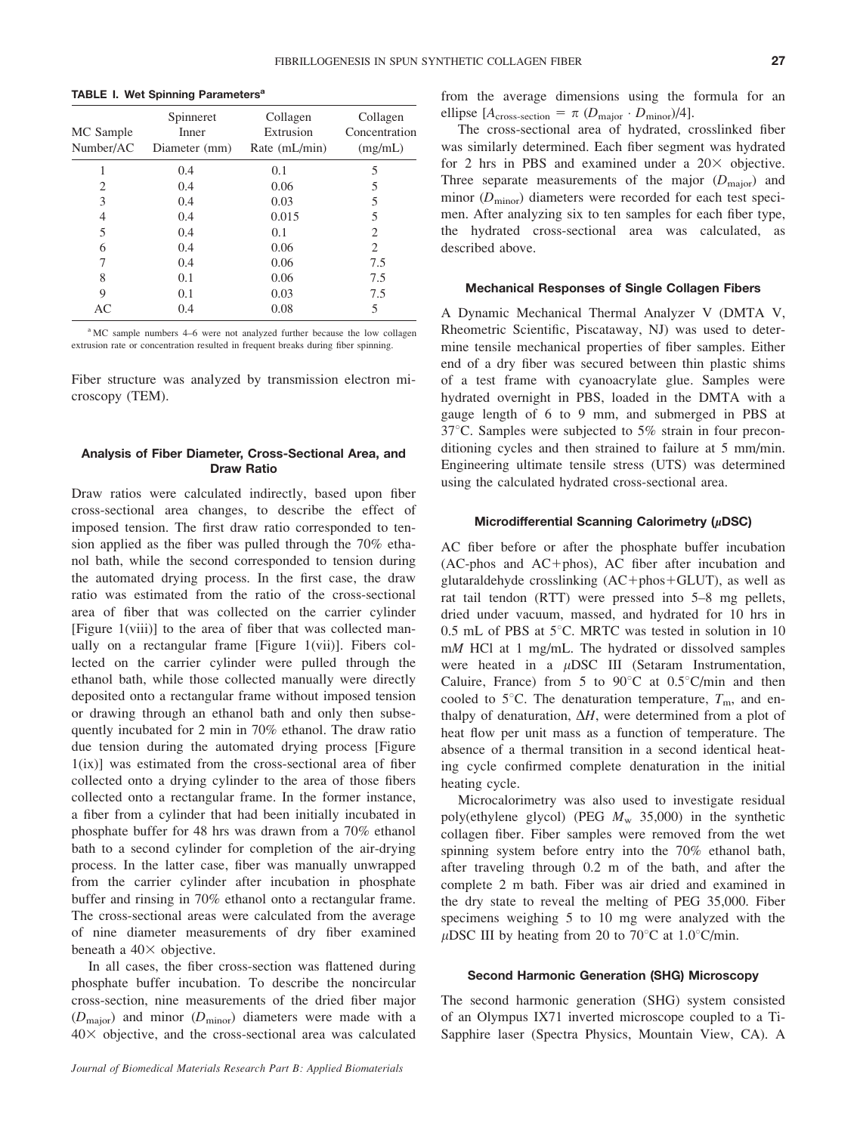| MC Sample<br>Number/AC | Spinneret<br>Inner<br>Diameter (mm) | Collagen<br>Extrusion<br>Rate (mL/min) | Collagen<br>Concentration<br>(mg/mL) |
|------------------------|-------------------------------------|----------------------------------------|--------------------------------------|
|                        | 0.4                                 | 0.1                                    | 5                                    |
| 2                      | 0.4                                 | 0.06                                   | 5                                    |
| 3                      | 0.4                                 | 0.03                                   | 5                                    |
| 4                      | 0.4                                 | 0.015                                  | 5                                    |
| 5                      | 0.4                                 | 0.1                                    | $\mathcal{D}_{\mathcal{L}}$          |
| 6                      | 0.4                                 | 0.06                                   | 2                                    |
| 7                      | 0.4                                 | 0.06                                   | 7.5                                  |
| 8                      | 0.1                                 | 0.06                                   | 7.5                                  |
| 9                      | 0.1                                 | 0.03                                   | 7.5                                  |
| AC                     | 0.4                                 | 0.08                                   | 5                                    |

<sup>a</sup> MC sample numbers 4–6 were not analyzed further because the low collagen extrusion rate or concentration resulted in frequent breaks during fiber spinning.

Fiber structure was analyzed by transmission electron microscopy (TEM).

### Analysis of Fiber Diameter, Cross-Sectional Area, and Draw Ratio

Draw ratios were calculated indirectly, based upon fiber cross-sectional area changes, to describe the effect of imposed tension. The first draw ratio corresponded to tension applied as the fiber was pulled through the 70% ethanol bath, while the second corresponded to tension during the automated drying process. In the first case, the draw ratio was estimated from the ratio of the cross-sectional area of fiber that was collected on the carrier cylinder [Figure 1(viii)] to the area of fiber that was collected manually on a rectangular frame [Figure 1(vii)]. Fibers collected on the carrier cylinder were pulled through the ethanol bath, while those collected manually were directly deposited onto a rectangular frame without imposed tension or drawing through an ethanol bath and only then subsequently incubated for 2 min in 70% ethanol. The draw ratio due tension during the automated drying process [Figure 1(ix)] was estimated from the cross-sectional area of fiber collected onto a drying cylinder to the area of those fibers collected onto a rectangular frame. In the former instance, a fiber from a cylinder that had been initially incubated in phosphate buffer for 48 hrs was drawn from a 70% ethanol bath to a second cylinder for completion of the air-drying process. In the latter case, fiber was manually unwrapped from the carrier cylinder after incubation in phosphate buffer and rinsing in 70% ethanol onto a rectangular frame. The cross-sectional areas were calculated from the average of nine diameter measurements of dry fiber examined beneath a  $40\times$  objective.

In all cases, the fiber cross-section was flattened during phosphate buffer incubation. To describe the noncircular cross-section, nine measurements of the dried fiber major  $(D_{\text{major}})$  and minor  $(D_{\text{minor}})$  diameters were made with a  $40\times$  objective, and the cross-sectional area was calculated

from the average dimensions using the formula for an ellipse  $[A_{\text{cross-section}} = \pi (D_{\text{major}} \cdot D_{\text{minor}})/4].$ 

The cross-sectional area of hydrated, crosslinked fiber was similarly determined. Each fiber segment was hydrated for 2 hrs in PBS and examined under a  $20\times$  objective. Three separate measurements of the major  $(D_{\text{major}})$  and minor  $(D_{\text{minor}})$  diameters were recorded for each test specimen. After analyzing six to ten samples for each fiber type, the hydrated cross-sectional area was calculated, as described above.

### Mechanical Responses of Single Collagen Fibers

A Dynamic Mechanical Thermal Analyzer V (DMTA V, Rheometric Scientific, Piscataway, NJ) was used to determine tensile mechanical properties of fiber samples. Either end of a dry fiber was secured between thin plastic shims of a test frame with cyanoacrylate glue. Samples were hydrated overnight in PBS, loaded in the DMTA with a gauge length of 6 to 9 mm, and submerged in PBS at  $37^{\circ}$ C. Samples were subjected to 5% strain in four preconditioning cycles and then strained to failure at 5 mm/min. Engineering ultimate tensile stress (UTS) was determined using the calculated hydrated cross-sectional area.

### Microdifferential Scanning Calorimetry ( $\mu$ DSC)

AC fiber before or after the phosphate buffer incubation  $(AC-phos and AC+phos)$ ,  $AC$  fiber after incubation and glutaraldehyde crosslinking  $(AC + p \text{hos} + GLUT)$ , as well as rat tail tendon (RTT) were pressed into 5–8 mg pellets, dried under vacuum, massed, and hydrated for 10 hrs in  $0.5$  mL of PBS at  $5^{\circ}$ C. MRTC was tested in solution in 10 mM HCl at 1 mg/mL. The hydrated or dissolved samples were heated in a  $\mu$ DSC III (Setaram Instrumentation, Caluire, France) from 5 to 90 $^{\circ}$ C at 0.5 $^{\circ}$ C/min and then cooled to 5 $\degree$ C. The denaturation temperature,  $T_{\rm m}$ , and enthalpy of denaturation,  $\Delta H$ , were determined from a plot of heat flow per unit mass as a function of temperature. The absence of a thermal transition in a second identical heating cycle confirmed complete denaturation in the initial heating cycle.

Microcalorimetry was also used to investigate residual poly(ethylene glycol) (PEG  $M_w$  35,000) in the synthetic collagen fiber. Fiber samples were removed from the wet spinning system before entry into the 70% ethanol bath, after traveling through 0.2 m of the bath, and after the complete 2 m bath. Fiber was air dried and examined in the dry state to reveal the melting of PEG 35,000. Fiber specimens weighing 5 to 10 mg were analyzed with the  $\mu$ DSC III by heating from 20 to 70°C at 1.0°C/min.

#### Second Harmonic Generation (SHG) Microscopy

The second harmonic generation (SHG) system consisted of an Olympus IX71 inverted microscope coupled to a Ti-Sapphire laser (Spectra Physics, Mountain View, CA). A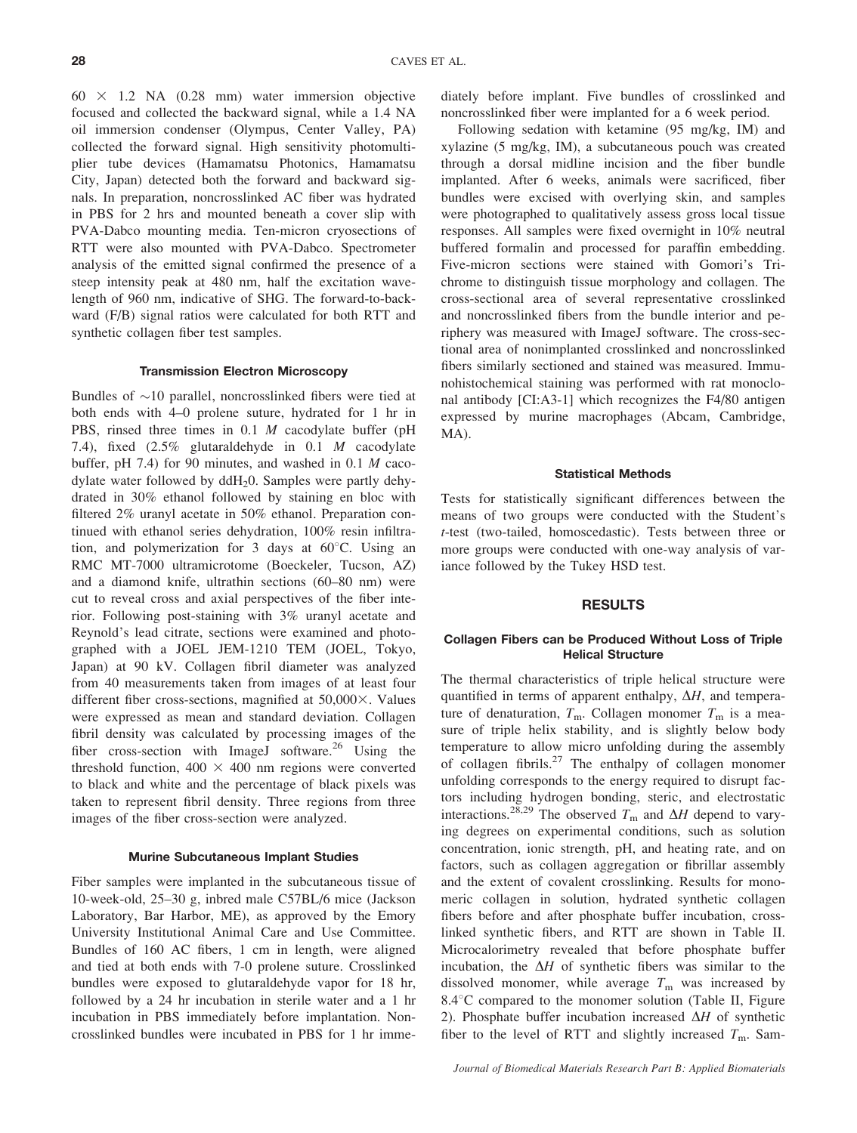$60 \times 1.2$  NA  $(0.28 \text{ mm})$  water immersion objective focused and collected the backward signal, while a 1.4 NA oil immersion condenser (Olympus, Center Valley, PA) collected the forward signal. High sensitivity photomultiplier tube devices (Hamamatsu Photonics, Hamamatsu City, Japan) detected both the forward and backward signals. In preparation, noncrosslinked AC fiber was hydrated in PBS for 2 hrs and mounted beneath a cover slip with PVA-Dabco mounting media. Ten-micron cryosections of RTT were also mounted with PVA-Dabco. Spectrometer analysis of the emitted signal confirmed the presence of a steep intensity peak at 480 nm, half the excitation wavelength of 960 nm, indicative of SHG. The forward-to-backward (F/B) signal ratios were calculated for both RTT and synthetic collagen fiber test samples.

### Transmission Electron Microscopy

Bundles of  $\sim$ 10 parallel, noncrosslinked fibers were tied at both ends with 4–0 prolene suture, hydrated for 1 hr in PBS, rinsed three times in 0.1 M cacodylate buffer (pH 7.4), fixed (2.5% glutaraldehyde in 0.1 M cacodylate buffer, pH 7.4) for 90 minutes, and washed in 0.1 M cacodylate water followed by ddH20. Samples were partly dehydrated in 30% ethanol followed by staining en bloc with filtered 2% uranyl acetate in 50% ethanol. Preparation continued with ethanol series dehydration, 100% resin infiltration, and polymerization for 3 days at  $60^{\circ}$ C. Using an RMC MT-7000 ultramicrotome (Boeckeler, Tucson, AZ) and a diamond knife, ultrathin sections (60–80 nm) were cut to reveal cross and axial perspectives of the fiber interior. Following post-staining with 3% uranyl acetate and Reynold's lead citrate, sections were examined and photographed with a JOEL JEM-1210 TEM (JOEL, Tokyo, Japan) at 90 kV. Collagen fibril diameter was analyzed from 40 measurements taken from images of at least four different fiber cross-sections, magnified at  $50,000 \times$ . Values were expressed as mean and standard deviation. Collagen fibril density was calculated by processing images of the fiber cross-section with ImageJ software.<sup>26</sup> Using the threshold function,  $400 \times 400$  nm regions were converted to black and white and the percentage of black pixels was taken to represent fibril density. Three regions from three images of the fiber cross-section were analyzed.

### Murine Subcutaneous Implant Studies

Fiber samples were implanted in the subcutaneous tissue of 10-week-old, 25–30 g, inbred male C57BL/6 mice (Jackson Laboratory, Bar Harbor, ME), as approved by the Emory University Institutional Animal Care and Use Committee. Bundles of 160 AC fibers, 1 cm in length, were aligned and tied at both ends with 7-0 prolene suture. Crosslinked bundles were exposed to glutaraldehyde vapor for 18 hr, followed by a 24 hr incubation in sterile water and a 1 hr incubation in PBS immediately before implantation. Noncrosslinked bundles were incubated in PBS for 1 hr immediately before implant. Five bundles of crosslinked and noncrosslinked fiber were implanted for a 6 week period.

Following sedation with ketamine (95 mg/kg, IM) and xylazine (5 mg/kg, IM), a subcutaneous pouch was created through a dorsal midline incision and the fiber bundle implanted. After 6 weeks, animals were sacrificed, fiber bundles were excised with overlying skin, and samples were photographed to qualitatively assess gross local tissue responses. All samples were fixed overnight in 10% neutral buffered formalin and processed for paraffin embedding. Five-micron sections were stained with Gomori's Trichrome to distinguish tissue morphology and collagen. The cross-sectional area of several representative crosslinked and noncrosslinked fibers from the bundle interior and periphery was measured with ImageJ software. The cross-sectional area of nonimplanted crosslinked and noncrosslinked fibers similarly sectioned and stained was measured. Immunohistochemical staining was performed with rat monoclonal antibody [CI:A3-1] which recognizes the F4/80 antigen expressed by murine macrophages (Abcam, Cambridge, MA).

### Statistical Methods

Tests for statistically significant differences between the means of two groups were conducted with the Student's t-test (two-tailed, homoscedastic). Tests between three or more groups were conducted with one-way analysis of variance followed by the Tukey HSD test.

# RESULTS

### Collagen Fibers can be Produced Without Loss of Triple Helical Structure

The thermal characteristics of triple helical structure were quantified in terms of apparent enthalpy,  $\Delta H$ , and temperature of denaturation,  $T_m$ . Collagen monomer  $T_m$  is a measure of triple helix stability, and is slightly below body temperature to allow micro unfolding during the assembly of collagen fibrils.<sup>27</sup> The enthalpy of collagen monomer unfolding corresponds to the energy required to disrupt factors including hydrogen bonding, steric, and electrostatic interactions.<sup>28,29</sup> The observed  $T<sub>m</sub>$  and  $\Delta H$  depend to varying degrees on experimental conditions, such as solution concentration, ionic strength, pH, and heating rate, and on factors, such as collagen aggregation or fibrillar assembly and the extent of covalent crosslinking. Results for monomeric collagen in solution, hydrated synthetic collagen fibers before and after phosphate buffer incubation, crosslinked synthetic fibers, and RTT are shown in Table II. Microcalorimetry revealed that before phosphate buffer incubation, the  $\Delta H$  of synthetic fibers was similar to the dissolved monomer, while average  $T<sub>m</sub>$  was increased by  $8.4^{\circ}$ C compared to the monomer solution (Table II, Figure 2). Phosphate buffer incubation increased  $\Delta H$  of synthetic fiber to the level of RTT and slightly increased  $T<sub>m</sub>$ . Sam-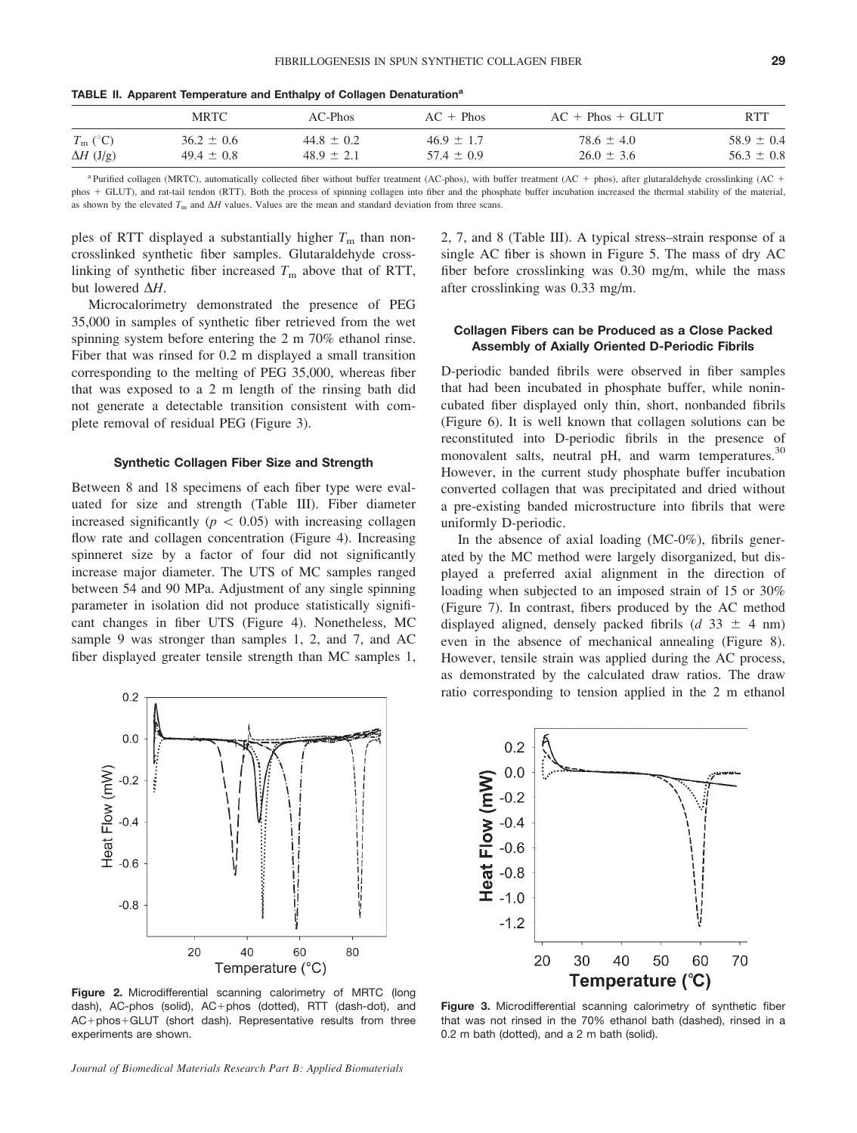|                                      | <b>MRTC</b>                      | AC-Phos                          | $AC + Phos$                      | $AC + Phos + GLUT$               | <b>RTT</b>                       |
|--------------------------------------|----------------------------------|----------------------------------|----------------------------------|----------------------------------|----------------------------------|
| $T_{\rm m}$ (°C)<br>$\Delta H$ (J/g) | $36.2 \pm 0.6$<br>$49.4 \pm 0.8$ | $44.8 \pm 0.2$<br>$48.9 \pm 2.1$ | $46.9 \pm 1.7$<br>$57.4 \pm 0.9$ | $78.6 \pm 4.0$<br>$26.0 \pm 3.6$ | $58.9 \pm 0.4$<br>$56.3 \pm 0.8$ |
|                                      |                                  |                                  |                                  |                                  |                                  |

TABLE II. Apparent Temperature and Enthalpy of Collagen Denaturation<sup>a</sup>

<sup>a</sup> Purified collagen (MRTC), automatically collected fiber without buffer treatment (AC-phos), with buffer treatment (AC + phos), after glutaraldehyde crosslinking (AC + phos + GLUT), and rat-tail tendon (RTT). Both the process of spinning collagen into fiber and the phosphate buffer incubation increased the thermal stability of the material, as shown by the elevated  $T_m$  and  $\Delta H$  values. Values are the mean and standard deviation from three scans.

ples of RTT displayed a substantially higher  $T<sub>m</sub>$  than noncrosslinked synthetic fiber samples. Glutaraldehyde crosslinking of synthetic fiber increased  $T<sub>m</sub>$  above that of RTT, but lowered  $\Delta H$ .

Microcalorimetry demonstrated the presence of PEG 35,000 in samples of synthetic fiber retrieved from the wet spinning system before entering the 2 m 70% ethanol rinse. Fiber that was rinsed for 0.2 m displayed a small transition corresponding to the melting of PEG 35,000, whereas fiber that was exposed to a 2 m length of the rinsing bath did not generate a detectable transition consistent with complete removal of residual PEG (Figure 3).

### Synthetic Collagen Fiber Size and Strength

Between 8 and 18 specimens of each fiber type were evaluated for size and strength (Table III). Fiber diameter increased significantly ( $p \, < \, 0.05$ ) with increasing collagen flow rate and collagen concentration (Figure 4). Increasing spinneret size by a factor of four did not significantly increase major diameter. The UTS of MC samples ranged between 54 and 90 MPa. Adjustment of any single spinning parameter in isolation did not produce statistically significant changes in fiber UTS (Figure 4). Nonetheless, MC sample 9 was stronger than samples 1, 2, and 7, and AC fiber displayed greater tensile strength than MC samples 1,

 $0.2$ 

2, 7, and 8 (Table III). A typical stress–strain response of a single AC fiber is shown in Figure 5. The mass of dry AC fiber before crosslinking was 0.30 mg/m, while the mass after crosslinking was 0.33 mg/m.

#### Collagen Fibers can be Produced as a Close Packed Assembly of Axially Oriented D-Periodic Fibrils

D-periodic banded fibrils were observed in fiber samples that had been incubated in phosphate buffer, while nonincubated fiber displayed only thin, short, nonbanded fibrils (Figure 6). It is well known that collagen solutions can be reconstituted into D-periodic fibrils in the presence of monovalent salts, neutral pH, and warm temperatures.<sup>30</sup> However, in the current study phosphate buffer incubation converted collagen that was precipitated and dried without a pre-existing banded microstructure into fibrils that were uniformly D-periodic.

In the absence of axial loading (MC-0%), fibrils generated by the MC method were largely disorganized, but displayed a preferred axial alignment in the direction of loading when subjected to an imposed strain of 15 or 30% (Figure 7). In contrast, fibers produced by the AC method displayed aligned, densely packed fibrils ( $d$  33  $\pm$  4 nm) even in the absence of mechanical annealing (Figure 8). However, tensile strain was applied during the AC process, as demonstrated by the calculated draw ratios. The draw ratio corresponding to tension applied in the 2 m ethanol



Figure 2. Microdifferential scanning calorimetry of MRTC (long dash), AC-phos (solid), AC+phos (dotted), RTT (dash-dot), and AC+phos+GLUT (short dash). Representative results from three experiments are shown.

Journal of Biomedical Materials Research Part B: Applied Biomaterials



Figure 3. Microdifferential scanning calorimetry of synthetic fiber that was not rinsed in the 70% ethanol bath (dashed), rinsed in a 0.2 m bath (dotted), and a 2 m bath (solid).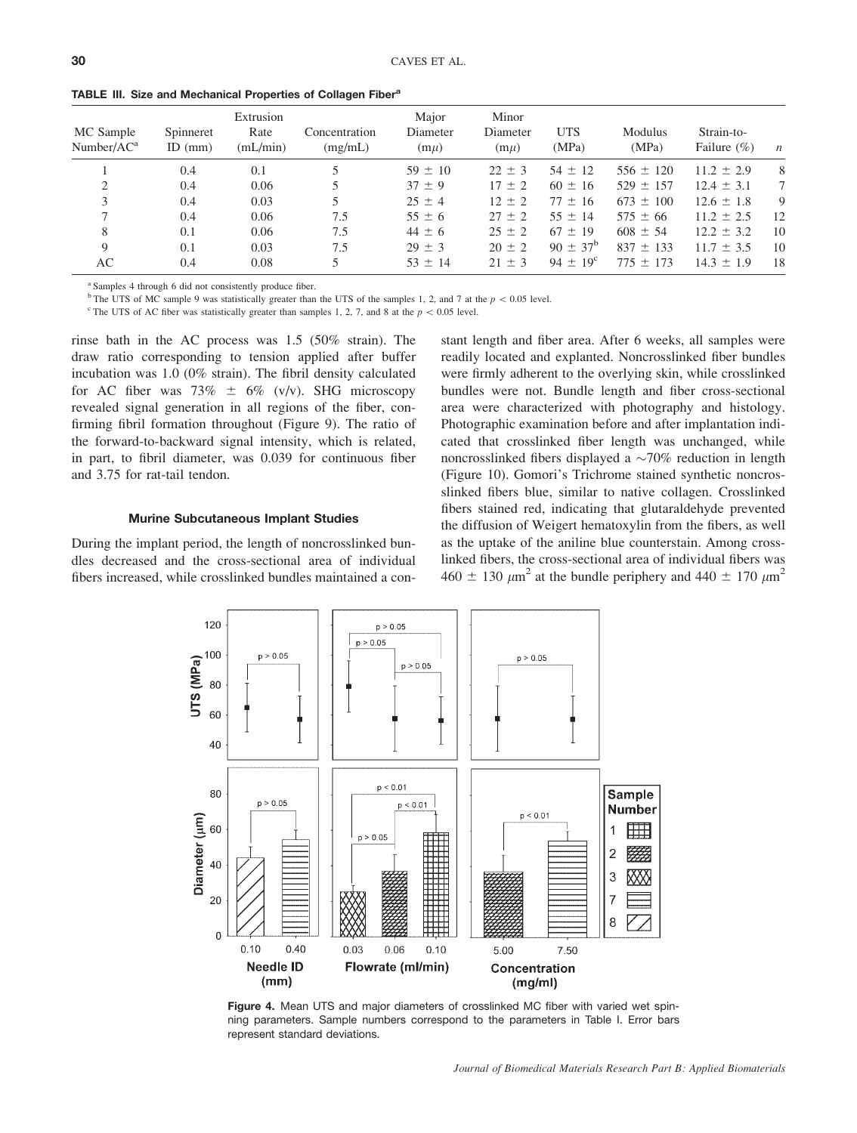| MC Sample<br>Number/AC <sup>a</sup> | Spinneret<br>ID $(mm)$ | Extrusion<br>Rate<br>(mL/min) | Concentration<br>(mg/mL) | Major<br>Diameter<br>$(m\mu)$ | Minor<br>Diameter<br>$(m\mu)$ | <b>UTS</b><br>(MPa) | Modulus<br>(MPa) | Strain-to-<br>Failure $(\% )$ | $\boldsymbol{n}$ |
|-------------------------------------|------------------------|-------------------------------|--------------------------|-------------------------------|-------------------------------|---------------------|------------------|-------------------------------|------------------|
|                                     | 0.4                    | 0.1                           |                          | $59 \pm 10$                   | $22 \pm 3$                    | $54 \pm 12$         | $556 \pm 120$    | $11.2 \pm 2.9$                | 8                |
| 2                                   | 0.4                    | 0.06                          |                          | $37 \pm 9$                    | $17 \pm 2$                    | $60 \pm 16$         | $529 \pm 157$    | $12.4 \pm 3.1$                | 7                |
| 3                                   | 0.4                    | 0.03                          |                          | $25 \pm 4$                    | $12 \pm 2$                    | $77 \pm 16$         | $673 \pm 100$    | $12.6 \pm 1.8$                | 9                |
|                                     | 0.4                    | 0.06                          | 7.5                      | $55 \pm 6$                    | $27 \pm 2$                    | $55 \pm 14$         | $575 \pm 66$     | $11.2 \pm 2.5$                | 12               |
| 8                                   | 0.1                    | 0.06                          | 7.5                      | $44 \pm 6$                    | $25 \pm 2$                    | $67 \pm 19$         | $608 \pm 54$     | $12.2 \pm 3.2$                | 10               |
| 9                                   | 0.1                    | 0.03                          | 7.5                      | $29 \pm 3$                    | $20 \pm 2$                    | $90 \pm 37^{\rm b}$ | $837 \pm 133$    | $11.7 \pm 3.5$                | 10               |
| AC                                  | 0.4                    | 0.08                          |                          | $53 \pm 14$                   | $21 \pm 3$                    | $94 \pm 19^{\circ}$ | $775 \pm 173$    | $14.3 \pm 1.9$                | 18               |
|                                     |                        |                               |                          |                               |                               |                     |                  |                               |                  |

TABLE III. Size and Mechanical Properties of Collagen Fiber<sup>a</sup>

<sup>a</sup> Samples 4 through 6 did not consistently produce fiber.

<sup>b</sup> The UTS of MC sample 9 was statistically greater than the UTS of the samples 1, 2, and 7 at the  $p < 0.05$  level.

<sup>c</sup> The UTS of AC fiber was statistically greater than samples 1, 2, 7, and 8 at the  $p \, 0.05$  level.

rinse bath in the AC process was 1.5 (50% strain). The draw ratio corresponding to tension applied after buffer incubation was 1.0 (0% strain). The fibril density calculated for AC fiber was 73%  $\pm$  6% (v/v). SHG microscopy revealed signal generation in all regions of the fiber, confirming fibril formation throughout (Figure 9). The ratio of the forward-to-backward signal intensity, which is related, in part, to fibril diameter, was 0.039 for continuous fiber and 3.75 for rat-tail tendon.

### Murine Subcutaneous Implant Studies

During the implant period, the length of noncrosslinked bundles decreased and the cross-sectional area of individual fibers increased, while crosslinked bundles maintained a con-

 $p > 0.05$ 

120

.100

80

60

40

UTS (MPa)

stant length and fiber area. After 6 weeks, all samples were readily located and explanted. Noncrosslinked fiber bundles were firmly adherent to the overlying skin, while crosslinked bundles were not. Bundle length and fiber cross-sectional area were characterized with photography and histology. Photographic examination before and after implantation indicated that crosslinked fiber length was unchanged, while noncrosslinked fibers displayed a  $\sim$ 70% reduction in length (Figure 10). Gomori's Trichrome stained synthetic noncrosslinked fibers blue, similar to native collagen. Crosslinked fibers stained red, indicating that glutaraldehyde prevented the diffusion of Weigert hematoxylin from the fibers, as well as the uptake of the aniline blue counterstain. Among crosslinked fibers, the cross-sectional area of individual fibers was  $460 \pm 130$   $\mu$ m<sup>2</sup> at the bundle periphery and  $440 \pm 170$   $\mu$ m<sup>2</sup>

 $p > 0.05$ 



 $p > 0.05$  $p > 0.05$ 

 $p > 0.05$ 

ning parameters. Sample numbers correspond to the parameters in Table I. Error bars represent standard deviations.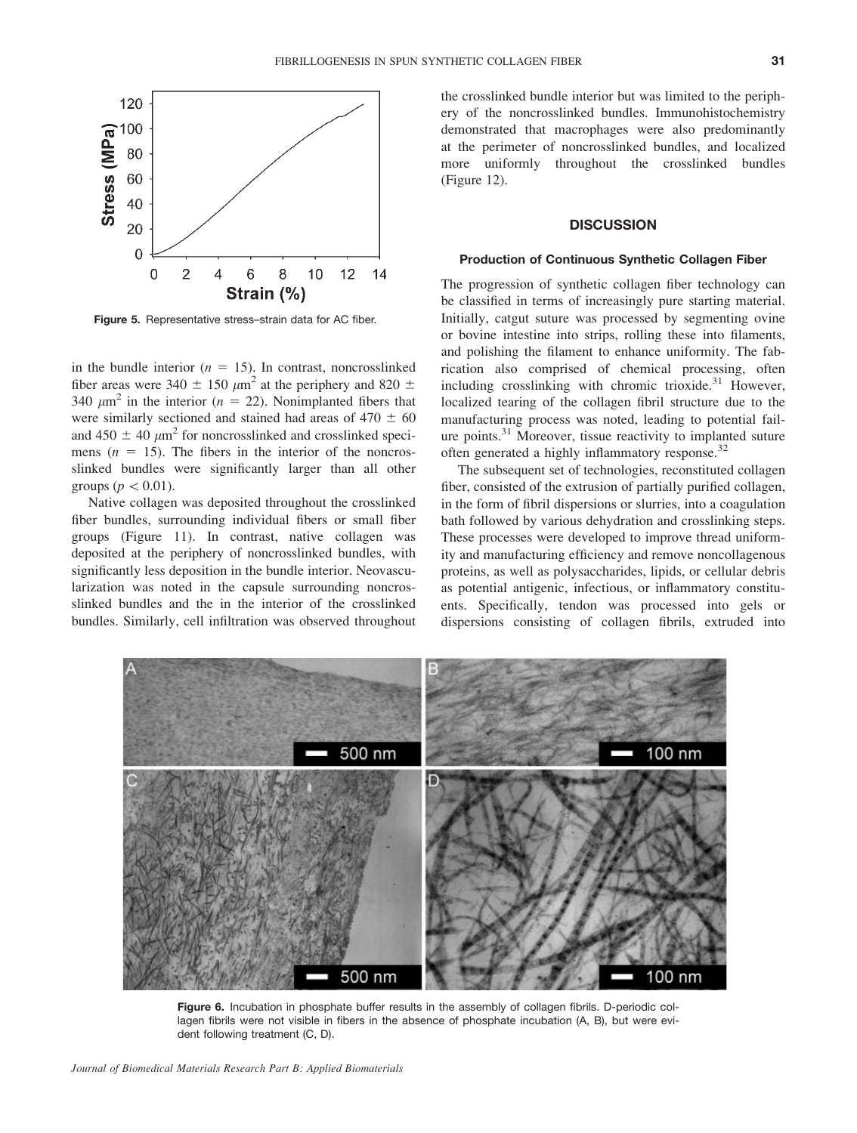

Figure 5. Representative stress-strain data for AC fiber.

in the bundle interior ( $n = 15$ ). In contrast, noncrosslinked fiber areas were 340  $\pm$  150  $\mu$ m<sup>2</sup> at the periphery and 820  $\pm$ 340  $\mu$ m<sup>2</sup> in the interior (n = 22). Nonimplanted fibers that were similarly sectioned and stained had areas of  $470 \pm 60$ and 450  $\pm$  40  $\mu$ m<sup>2</sup> for noncrosslinked and crosslinked specimens  $(n = 15)$ . The fibers in the interior of the noncrosslinked bundles were significantly larger than all other groups ( $p\lt 0.01$ ).

Native collagen was deposited throughout the crosslinked fiber bundles, surrounding individual fibers or small fiber groups (Figure 11). In contrast, native collagen was deposited at the periphery of noncrosslinked bundles, with significantly less deposition in the bundle interior. Neovascularization was noted in the capsule surrounding noncrosslinked bundles and the in the interior of the crosslinked bundles. Similarly, cell infiltration was observed throughout

the crosslinked bundle interior but was limited to the periphery of the noncrosslinked bundles. Immunohistochemistry demonstrated that macrophages were also predominantly at the perimeter of noncrosslinked bundles, and localized more uniformly throughout the crosslinked bundles (Figure 12).

### **DISCUSSION**

#### Production of Continuous Synthetic Collagen Fiber

The progression of synthetic collagen fiber technology can be classified in terms of increasingly pure starting material. Initially, catgut suture was processed by segmenting ovine or bovine intestine into strips, rolling these into filaments, and polishing the filament to enhance uniformity. The fabrication also comprised of chemical processing, often including crosslinking with chromic trioxide. $31$  However, localized tearing of the collagen fibril structure due to the manufacturing process was noted, leading to potential failure points.31 Moreover, tissue reactivity to implanted suture often generated a highly inflammatory response.<sup>32</sup>

The subsequent set of technologies, reconstituted collagen fiber, consisted of the extrusion of partially purified collagen, in the form of fibril dispersions or slurries, into a coagulation bath followed by various dehydration and crosslinking steps. These processes were developed to improve thread uniformity and manufacturing efficiency and remove noncollagenous proteins, as well as polysaccharides, lipids, or cellular debris as potential antigenic, infectious, or inflammatory constituents. Specifically, tendon was processed into gels or dispersions consisting of collagen fibrils, extruded into



Figure 6. Incubation in phosphate buffer results in the assembly of collagen fibrils. D-periodic collagen fibrils were not visible in fibers in the absence of phosphate incubation (A, B), but were evident following treatment (C, D).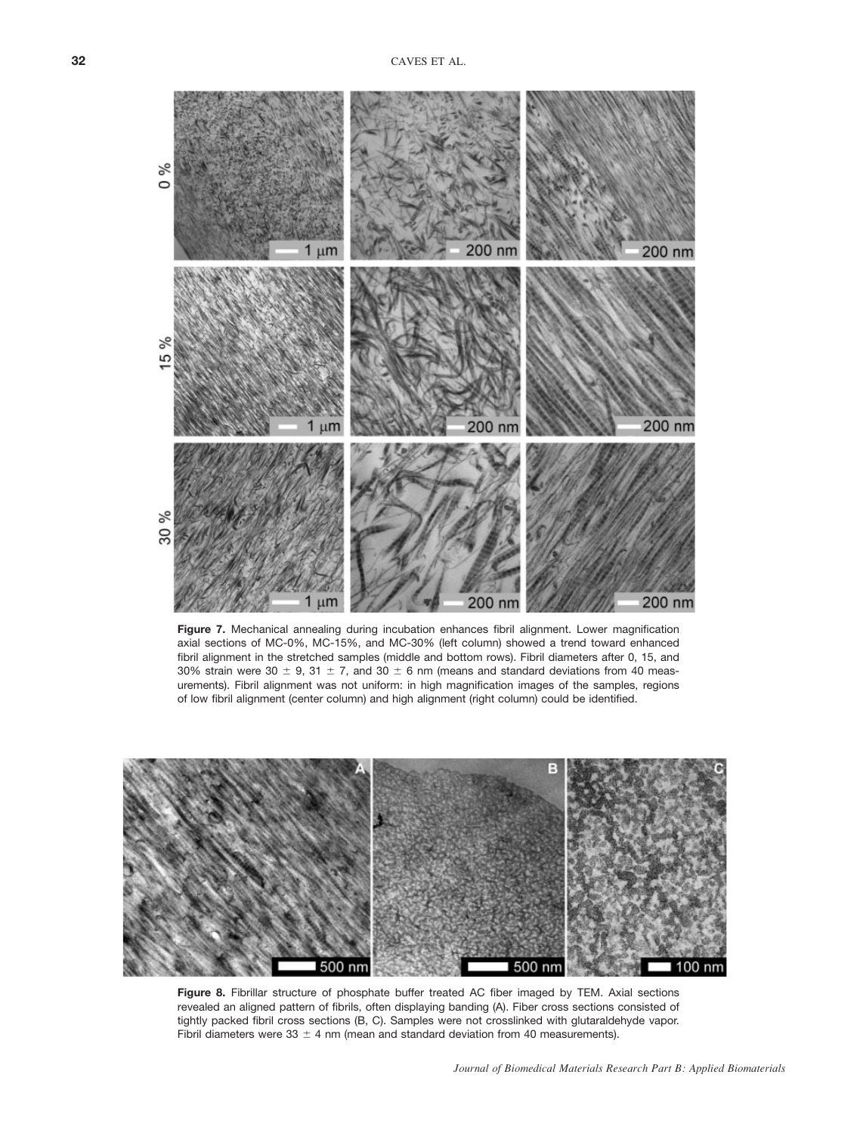

Figure 7. Mechanical annealing during incubation enhances fibril alignment. Lower magnification axial sections of MC-0%, MC-15%, and MC-30% (left column) showed a trend toward enhanced fibril alignment in the stretched samples (middle and bottom rows). Fibril diameters after 0, 15, and 30% strain were 30  $\pm$  9, 31  $\pm$  7, and 30  $\pm$  6 nm (means and standard deviations from 40 measurements). Fibril alignment was not uniform: in high magnification images of the samples, regions of low fibril alignment (center column) and high alignment (right column) could be identified.



Figure 8. Fibrillar structure of phosphate buffer treated AC fiber imaged by TEM. Axial sections revealed an aligned pattern of fibrils, often displaying banding (A). Fiber cross sections consisted of tightly packed fibril cross sections (B, C). Samples were not crosslinked with glutaraldehyde vapor. Fibril diameters were 33  $\pm$  4 nm (mean and standard deviation from 40 measurements).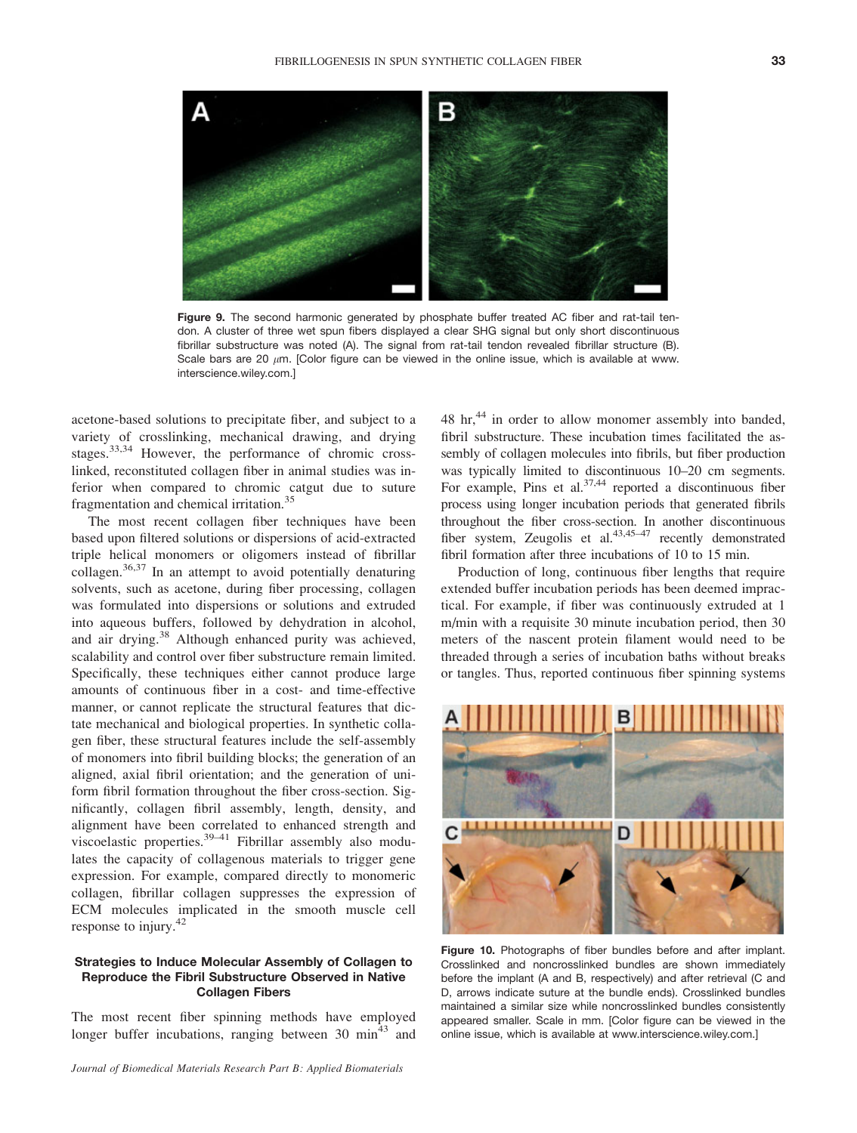

Figure 9. The second harmonic generated by phosphate buffer treated AC fiber and rat-tail tendon. A cluster of three wet spun fibers displayed a clear SHG signal but only short discontinuous fibrillar substructure was noted (A). The signal from rat-tail tendon revealed fibrillar structure (B). Scale bars are 20  $\mu$ m. [Color figure can be viewed in the online issue, which is available at www. interscience.wiley.com.]

acetone-based solutions to precipitate fiber, and subject to a variety of crosslinking, mechanical drawing, and drying stages.33,34 However, the performance of chromic crosslinked, reconstituted collagen fiber in animal studies was inferior when compared to chromic catgut due to suture fragmentation and chemical irritation.<sup>35</sup>

The most recent collagen fiber techniques have been based upon filtered solutions or dispersions of acid-extracted triple helical monomers or oligomers instead of fibrillar collagen.<sup>36,37</sup> In an attempt to avoid potentially denaturing solvents, such as acetone, during fiber processing, collagen was formulated into dispersions or solutions and extruded into aqueous buffers, followed by dehydration in alcohol, and air drying.<sup>38</sup> Although enhanced purity was achieved, scalability and control over fiber substructure remain limited. Specifically, these techniques either cannot produce large amounts of continuous fiber in a cost- and time-effective manner, or cannot replicate the structural features that dictate mechanical and biological properties. In synthetic collagen fiber, these structural features include the self-assembly of monomers into fibril building blocks; the generation of an aligned, axial fibril orientation; and the generation of uniform fibril formation throughout the fiber cross-section. Significantly, collagen fibril assembly, length, density, and alignment have been correlated to enhanced strength and viscoelastic properties.<sup>39–41</sup> Fibrillar assembly also modulates the capacity of collagenous materials to trigger gene expression. For example, compared directly to monomeric collagen, fibrillar collagen suppresses the expression of ECM molecules implicated in the smooth muscle cell response to injury.<sup>42</sup>

### Strategies to Induce Molecular Assembly of Collagen to Reproduce the Fibril Substructure Observed in Native Collagen Fibers

The most recent fiber spinning methods have employed longer buffer incubations, ranging between  $30 \text{ min}^{43}$  and 48 hr,<sup>44</sup> in order to allow monomer assembly into banded, fibril substructure. These incubation times facilitated the assembly of collagen molecules into fibrils, but fiber production was typically limited to discontinuous 10–20 cm segments. For example, Pins et al. $37,44$  reported a discontinuous fiber process using longer incubation periods that generated fibrils throughout the fiber cross-section. In another discontinuous fiber system, Zeugolis et al. $43,45-47$  recently demonstrated fibril formation after three incubations of 10 to 15 min.

Production of long, continuous fiber lengths that require extended buffer incubation periods has been deemed impractical. For example, if fiber was continuously extruded at 1 m/min with a requisite 30 minute incubation period, then 30 meters of the nascent protein filament would need to be threaded through a series of incubation baths without breaks or tangles. Thus, reported continuous fiber spinning systems



Figure 10. Photographs of fiber bundles before and after implant. Crosslinked and noncrosslinked bundles are shown immediately before the implant (A and B, respectively) and after retrieval (C and D, arrows indicate suture at the bundle ends). Crosslinked bundles maintained a similar size while noncrosslinked bundles consistently appeared smaller. Scale in mm. [Color figure can be viewed in the online issue, which is available at www.interscience.wiley.com.]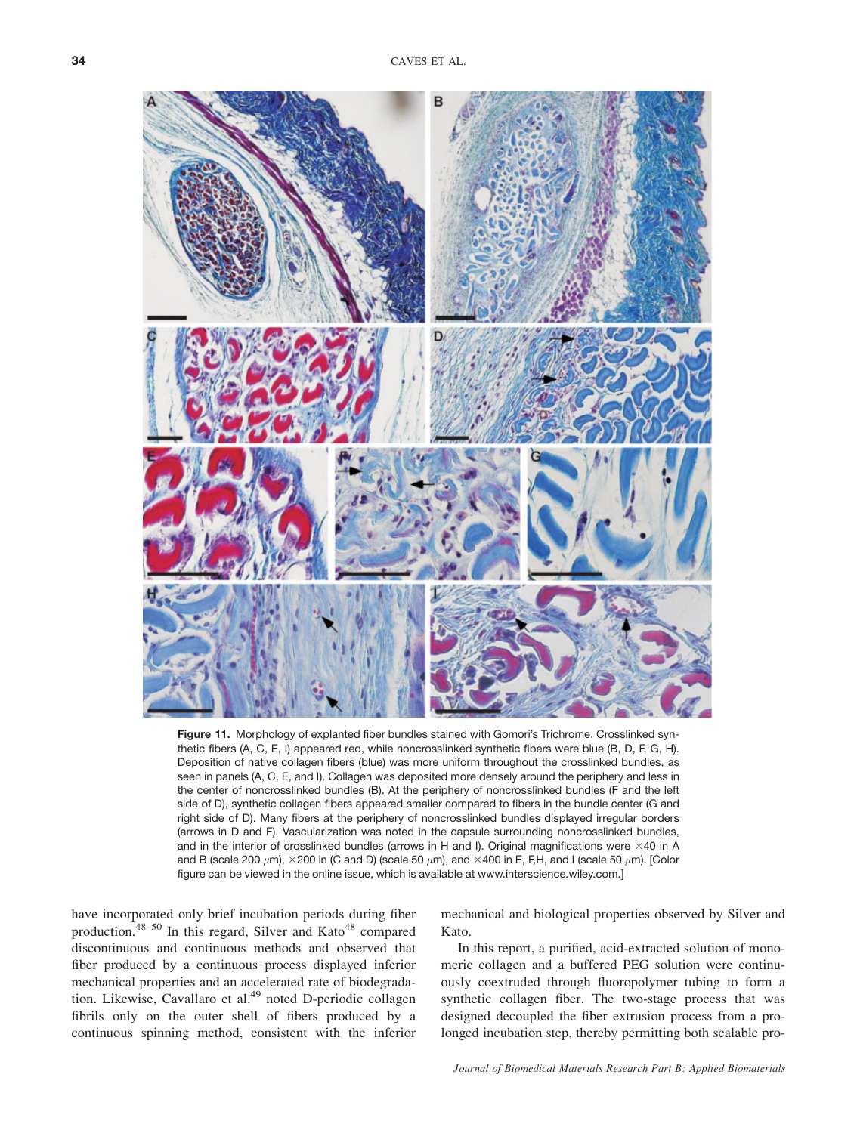

Figure 11. Morphology of explanted fiber bundles stained with Gomori's Trichrome. Crosslinked synthetic fibers (A, C, E, I) appeared red, while noncrosslinked synthetic fibers were blue (B, D, F, G, H). Deposition of native collagen fibers (blue) was more uniform throughout the crosslinked bundles, as seen in panels (A, C, E, and I). Collagen was deposited more densely around the periphery and less in the center of noncrosslinked bundles (B). At the periphery of noncrosslinked bundles (F and the left side of D), synthetic collagen fibers appeared smaller compared to fibers in the bundle center (G and right side of D). Many fibers at the periphery of noncrosslinked bundles displayed irregular borders (arrows in D and F). Vascularization was noted in the capsule surrounding noncrosslinked bundles, and in the interior of crosslinked bundles (arrows in H and I). Original magnifications were  $\times$ 40 in A and B (scale 200  $\mu$ m),  $\times$ 200 in (C and D) (scale 50  $\mu$ m), and  $\times$ 400 in E, F,H, and I (scale 50  $\mu$ m). [Color figure can be viewed in the online issue, which is available at www.interscience.wiley.com.]

have incorporated only brief incubation periods during fiber production.<sup>48–50</sup> In this regard, Silver and Kato<sup>48</sup> compared discontinuous and continuous methods and observed that fiber produced by a continuous process displayed inferior mechanical properties and an accelerated rate of biodegradation. Likewise, Cavallaro et al.<sup>49</sup> noted D-periodic collagen fibrils only on the outer shell of fibers produced by a continuous spinning method, consistent with the inferior mechanical and biological properties observed by Silver and Kato.

In this report, a purified, acid-extracted solution of monomeric collagen and a buffered PEG solution were continuously coextruded through fluoropolymer tubing to form a synthetic collagen fiber. The two-stage process that was designed decoupled the fiber extrusion process from a prolonged incubation step, thereby permitting both scalable pro-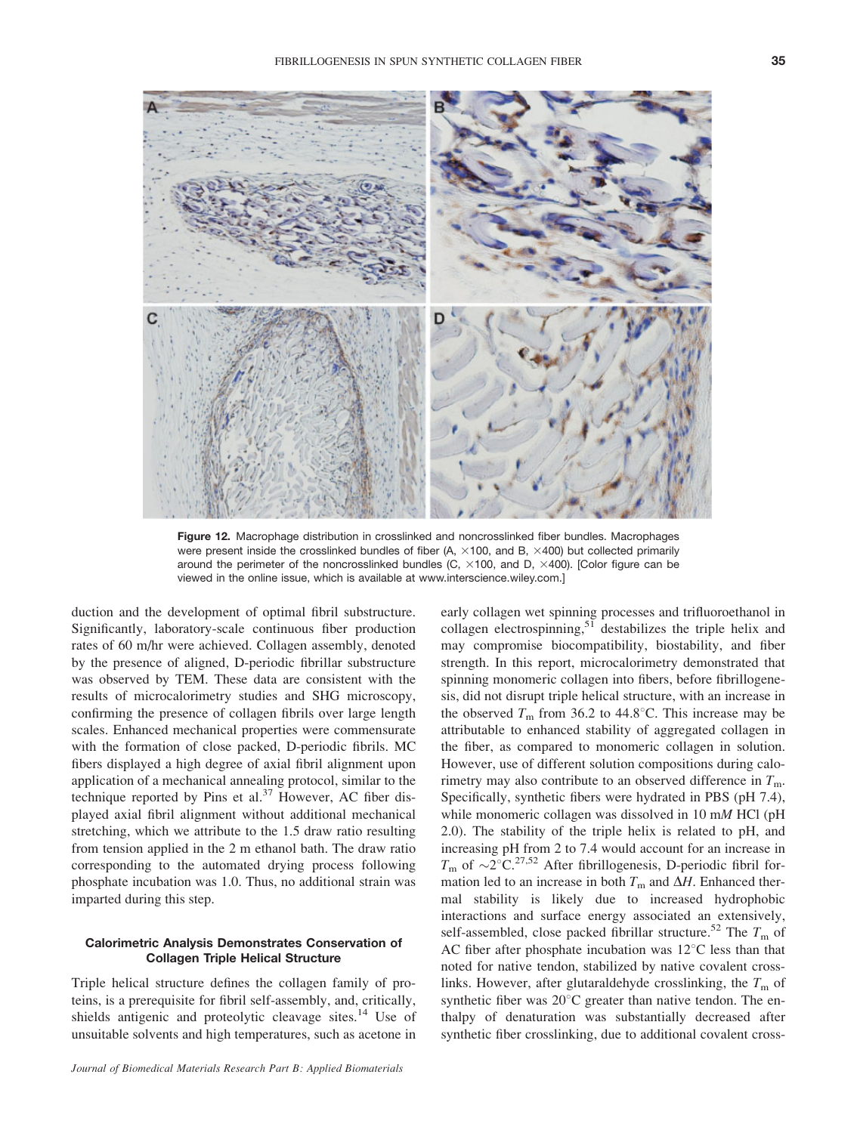

Figure 12. Macrophage distribution in crosslinked and noncrosslinked fiber bundles. Macrophages were present inside the crosslinked bundles of fiber (A,  $\times$ 100, and B,  $\times$ 400) but collected primarily around the perimeter of the noncrosslinked bundles (C,  $\times$ 100, and D,  $\times$ 400). [Color figure can be viewed in the online issue, which is available at www.interscience.wiley.com.]

duction and the development of optimal fibril substructure. Significantly, laboratory-scale continuous fiber production rates of 60 m/hr were achieved. Collagen assembly, denoted by the presence of aligned, D-periodic fibrillar substructure was observed by TEM. These data are consistent with the results of microcalorimetry studies and SHG microscopy, confirming the presence of collagen fibrils over large length scales. Enhanced mechanical properties were commensurate with the formation of close packed, D-periodic fibrils. MC fibers displayed a high degree of axial fibril alignment upon application of a mechanical annealing protocol, similar to the technique reported by Pins et al. $37$  However, AC fiber displayed axial fibril alignment without additional mechanical stretching, which we attribute to the 1.5 draw ratio resulting from tension applied in the 2 m ethanol bath. The draw ratio corresponding to the automated drying process following phosphate incubation was 1.0. Thus, no additional strain was imparted during this step.

### Calorimetric Analysis Demonstrates Conservation of Collagen Triple Helical Structure

Triple helical structure defines the collagen family of proteins, is a prerequisite for fibril self-assembly, and, critically, shields antigenic and proteolytic cleavage sites.<sup>14</sup> Use of unsuitable solvents and high temperatures, such as acetone in early collagen wet spinning processes and trifluoroethanol in collagen electrospinning, $51$  destabilizes the triple helix and may compromise biocompatibility, biostability, and fiber strength. In this report, microcalorimetry demonstrated that spinning monomeric collagen into fibers, before fibrillogenesis, did not disrupt triple helical structure, with an increase in the observed  $T_m$  from 36.2 to 44.8°C. This increase may be attributable to enhanced stability of aggregated collagen in the fiber, as compared to monomeric collagen in solution. However, use of different solution compositions during calorimetry may also contribute to an observed difference in  $T<sub>m</sub>$ . Specifically, synthetic fibers were hydrated in PBS (pH 7.4), while monomeric collagen was dissolved in 10 mM HCl (pH 2.0). The stability of the triple helix is related to pH, and increasing pH from 2 to 7.4 would account for an increase in  $T_{\rm m}$  of  $\sim$ 2°C.<sup>27,52</sup> After fibrillogenesis, D-periodic fibril formation led to an increase in both  $T<sub>m</sub>$  and  $\Delta H$ . Enhanced thermal stability is likely due to increased hydrophobic interactions and surface energy associated an extensively, self-assembled, close packed fibrillar structure.<sup>52</sup> The  $T<sub>m</sub>$  of AC fiber after phosphate incubation was  $12^{\circ}$ C less than that noted for native tendon, stabilized by native covalent crosslinks. However, after glutaraldehyde crosslinking, the  $T<sub>m</sub>$  of synthetic fiber was  $20^{\circ}$ C greater than native tendon. The enthalpy of denaturation was substantially decreased after synthetic fiber crosslinking, due to additional covalent cross-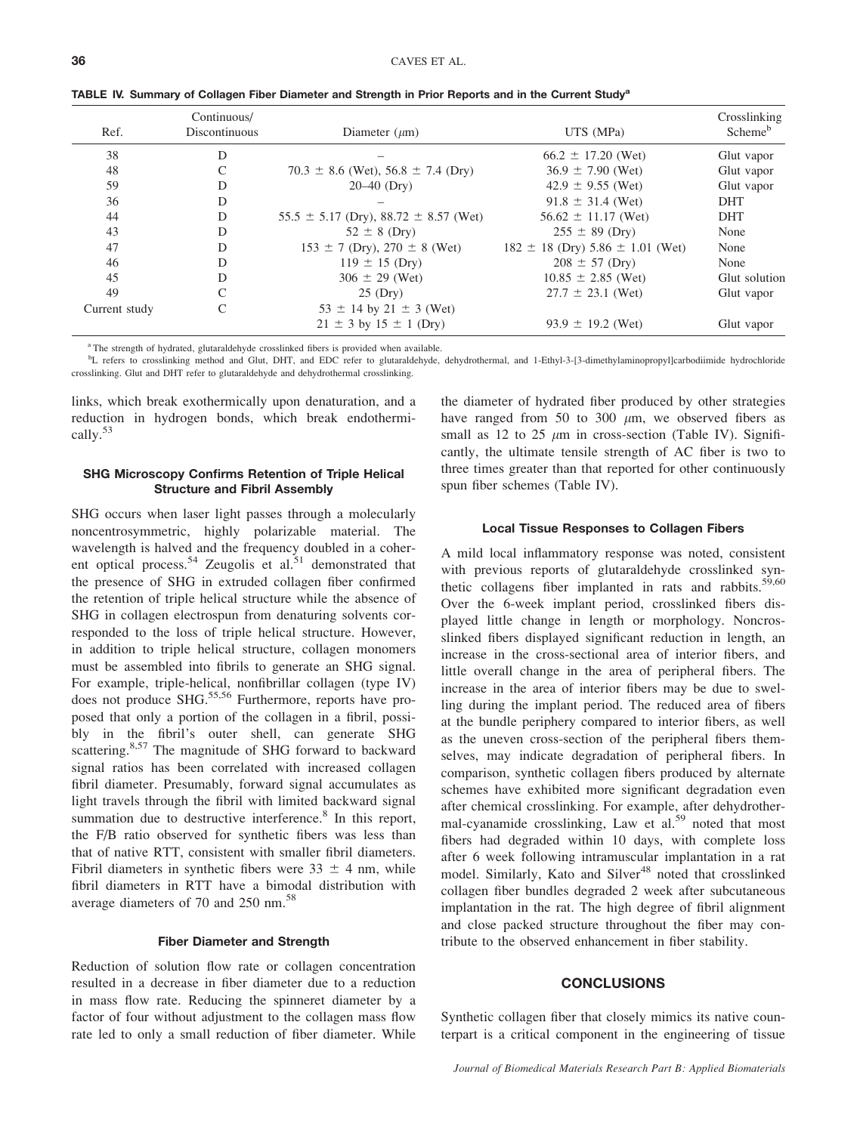| Ref.          | Continuous/<br>Discontinuous | Diameter $(\mu m)$                            | UTS (MPa)                                | Crosslinking<br>Scheme <sup>b</sup> |
|---------------|------------------------------|-----------------------------------------------|------------------------------------------|-------------------------------------|
| 38            | D                            |                                               | $66.2 \pm 17.20$ (Wet)                   | Glut vapor                          |
| 48            |                              | 70.3 $\pm$ 8.6 (Wet), 56.8 $\pm$ 7.4 (Dry)    | $36.9 \pm 7.90$ (Wet)                    | Glut vapor                          |
| 59            | D                            | $20-40$ (Dry)                                 | $42.9 \pm 9.55$ (Wet)                    | Glut vapor                          |
| 36            | D                            |                                               | $91.8 \pm 31.4$ (Wet)                    | <b>DHT</b>                          |
| 44            | D                            | $55.5 \pm 5.17$ (Dry), 88.72 $\pm$ 8.57 (Wet) | $56.62 \pm 11.17$ (Wet)                  | <b>DHT</b>                          |
| 43            | D                            | $52 \pm 8$ (Dry)                              | $255 \pm 89$ (Dry)                       | None                                |
| 47            | D                            | $153 \pm 7$ (Dry), $270 \pm 8$ (Wet)          | $182 \pm 18$ (Dry) 5.86 $\pm$ 1.01 (Wet) | None                                |
| 46            | D                            | $119 \pm 15$ (Dry)                            | $208 \pm 57$ (Dry)                       | None                                |
| 45            | D                            | $306 \pm 29$ (Wet)                            | $10.85 \pm 2.85$ (Wet)                   | Glut solution                       |
| 49            | C                            | $25$ (Dry)                                    | $27.7 \pm 23.1$ (Wet)                    | Glut vapor                          |
| Current study |                              | $53 \pm 14$ by $21 \pm 3$ (Wet)               |                                          |                                     |
|               |                              | $21 \pm 3$ by $15 \pm 1$ (Dry)                | $93.9 \pm 19.2$ (Wet)                    | Glut vapor                          |

TABLE IV. Summary of Collagen Fiber Diameter and Strength in Prior Reports and in the Current Study<sup>a</sup>

<sup>a</sup> The strength of hydrated, glutaraldehyde crosslinked fibers is provided when available.

<sup>b</sup>L refers to crosslinking method and Glut, DHT, and EDC refer to glutaraldehyde, dehydrothermal, and 1-Ethyl-3-[3-dimethylaminopropyl]carbodiimide hydrochloride crosslinking. Glut and DHT refer to glutaraldehyde and dehydrothermal crosslinking.

links, which break exothermically upon denaturation, and a reduction in hydrogen bonds, which break endothermically.<sup>53</sup>

### SHG Microscopy Confirms Retention of Triple Helical Structure and Fibril Assembly

SHG occurs when laser light passes through a molecularly noncentrosymmetric, highly polarizable material. The wavelength is halved and the frequency doubled in a coherent optical process.<sup>54</sup> Zeugolis et al.<sup>51</sup> demonstrated that the presence of SHG in extruded collagen fiber confirmed the retention of triple helical structure while the absence of SHG in collagen electrospun from denaturing solvents corresponded to the loss of triple helical structure. However, in addition to triple helical structure, collagen monomers must be assembled into fibrils to generate an SHG signal. For example, triple-helical, nonfibrillar collagen (type IV) does not produce SHG.<sup>55,56</sup> Furthermore, reports have proposed that only a portion of the collagen in a fibril, possibly in the fibril's outer shell, can generate SHG scattering.<sup>8,57</sup> The magnitude of SHG forward to backward signal ratios has been correlated with increased collagen fibril diameter. Presumably, forward signal accumulates as light travels through the fibril with limited backward signal summation due to destructive interference.<sup>8</sup> In this report, the F/B ratio observed for synthetic fibers was less than that of native RTT, consistent with smaller fibril diameters. Fibril diameters in synthetic fibers were  $33 \pm 4$  nm, while fibril diameters in RTT have a bimodal distribution with average diameters of 70 and 250 nm.<sup>58</sup>

#### Fiber Diameter and Strength

Reduction of solution flow rate or collagen concentration resulted in a decrease in fiber diameter due to a reduction in mass flow rate. Reducing the spinneret diameter by a factor of four without adjustment to the collagen mass flow rate led to only a small reduction of fiber diameter. While the diameter of hydrated fiber produced by other strategies have ranged from 50 to 300  $\mu$ m, we observed fibers as small as 12 to 25  $\mu$ m in cross-section (Table IV). Significantly, the ultimate tensile strength of AC fiber is two to three times greater than that reported for other continuously spun fiber schemes (Table IV).

### Local Tissue Responses to Collagen Fibers

A mild local inflammatory response was noted, consistent with previous reports of glutaraldehyde crosslinked synthetic collagens fiber implanted in rats and rabbits. $59,60$ Over the 6-week implant period, crosslinked fibers displayed little change in length or morphology. Noncrosslinked fibers displayed significant reduction in length, an increase in the cross-sectional area of interior fibers, and little overall change in the area of peripheral fibers. The increase in the area of interior fibers may be due to swelling during the implant period. The reduced area of fibers at the bundle periphery compared to interior fibers, as well as the uneven cross-section of the peripheral fibers themselves, may indicate degradation of peripheral fibers. In comparison, synthetic collagen fibers produced by alternate schemes have exhibited more significant degradation even after chemical crosslinking. For example, after dehydrothermal-cyanamide crosslinking, Law et al.<sup>59</sup> noted that most fibers had degraded within 10 days, with complete loss after 6 week following intramuscular implantation in a rat model. Similarly, Kato and Silver<sup>48</sup> noted that crosslinked collagen fiber bundles degraded 2 week after subcutaneous implantation in the rat. The high degree of fibril alignment and close packed structure throughout the fiber may contribute to the observed enhancement in fiber stability.

### **CONCLUSIONS**

Synthetic collagen fiber that closely mimics its native counterpart is a critical component in the engineering of tissue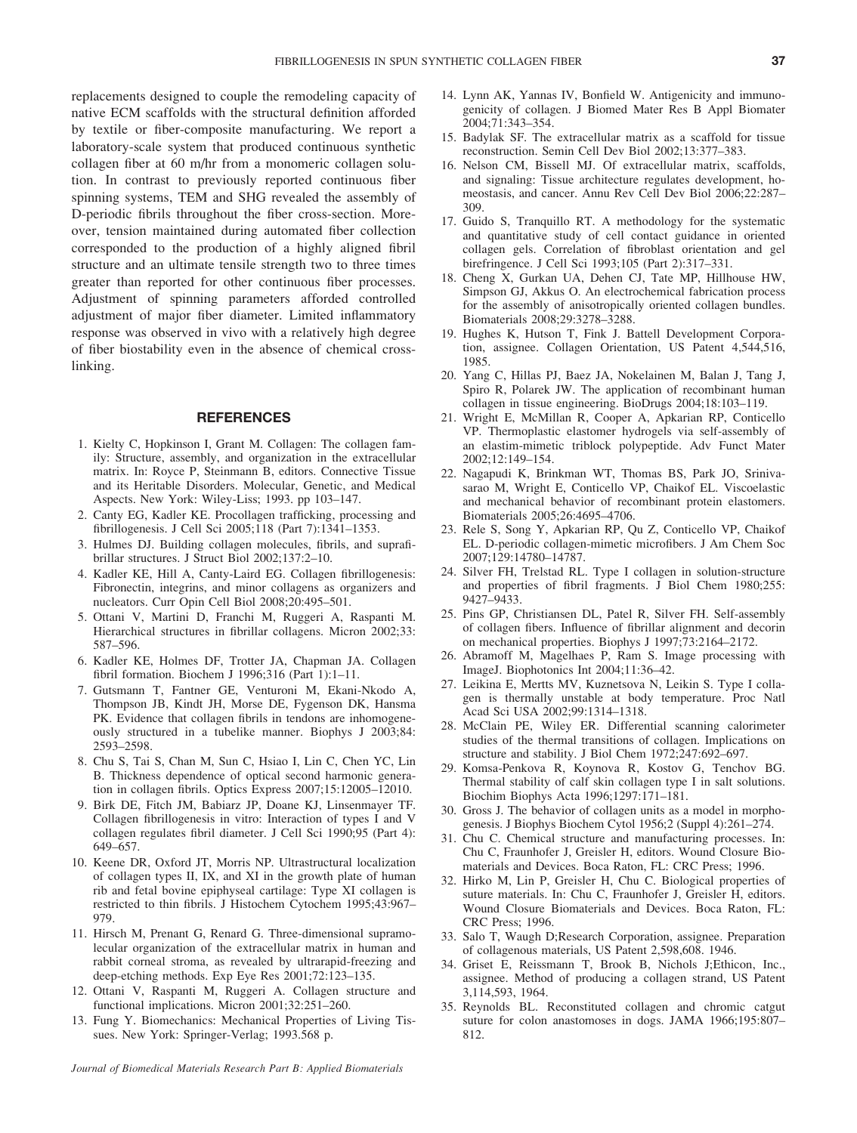replacements designed to couple the remodeling capacity of native ECM scaffolds with the structural definition afforded by textile or fiber-composite manufacturing. We report a laboratory-scale system that produced continuous synthetic collagen fiber at 60 m/hr from a monomeric collagen solution. In contrast to previously reported continuous fiber spinning systems, TEM and SHG revealed the assembly of D-periodic fibrils throughout the fiber cross-section. Moreover, tension maintained during automated fiber collection corresponded to the production of a highly aligned fibril structure and an ultimate tensile strength two to three times greater than reported for other continuous fiber processes. Adjustment of spinning parameters afforded controlled adjustment of major fiber diameter. Limited inflammatory response was observed in vivo with a relatively high degree of fiber biostability even in the absence of chemical crosslinking.

### REFERENCES

- 1. Kielty C, Hopkinson I, Grant M. Collagen: The collagen family: Structure, assembly, and organization in the extracellular matrix. In: Royce P, Steinmann B, editors. Connective Tissue and its Heritable Disorders. Molecular, Genetic, and Medical Aspects. New York: Wiley-Liss; 1993. pp 103–147.
- 2. Canty EG, Kadler KE. Procollagen trafficking, processing and fibrillogenesis. J Cell Sci 2005;118 (Part 7):1341–1353.
- 3. Hulmes DJ. Building collagen molecules, fibrils, and suprafibrillar structures. J Struct Biol 2002;137:2–10.
- 4. Kadler KE, Hill A, Canty-Laird EG. Collagen fibrillogenesis: Fibronectin, integrins, and minor collagens as organizers and nucleators. Curr Opin Cell Biol 2008;20:495–501.
- 5. Ottani V, Martini D, Franchi M, Ruggeri A, Raspanti M. Hierarchical structures in fibrillar collagens. Micron 2002;33: 587–596.
- 6. Kadler KE, Holmes DF, Trotter JA, Chapman JA. Collagen fibril formation. Biochem J 1996;316 (Part 1):1–11.
- 7. Gutsmann T, Fantner GE, Venturoni M, Ekani-Nkodo A, Thompson JB, Kindt JH, Morse DE, Fygenson DK, Hansma PK. Evidence that collagen fibrils in tendons are inhomogeneously structured in a tubelike manner. Biophys J 2003;84: 2593–2598.
- 8. Chu S, Tai S, Chan M, Sun C, Hsiao I, Lin C, Chen YC, Lin B. Thickness dependence of optical second harmonic generation in collagen fibrils. Optics Express 2007;15:12005–12010.
- 9. Birk DE, Fitch JM, Babiarz JP, Doane KJ, Linsenmayer TF. Collagen fibrillogenesis in vitro: Interaction of types I and V collagen regulates fibril diameter. J Cell Sci 1990;95 (Part 4): 649–657.
- 10. Keene DR, Oxford JT, Morris NP. Ultrastructural localization of collagen types II, IX, and XI in the growth plate of human rib and fetal bovine epiphyseal cartilage: Type XI collagen is restricted to thin fibrils. J Histochem Cytochem 1995;43:967– 979.
- 11. Hirsch M, Prenant G, Renard G. Three-dimensional supramolecular organization of the extracellular matrix in human and rabbit corneal stroma, as revealed by ultrarapid-freezing and deep-etching methods. Exp Eye Res 2001;72:123–135.
- 12. Ottani V, Raspanti M, Ruggeri A. Collagen structure and functional implications. Micron 2001;32:251–260.
- 13. Fung Y. Biomechanics: Mechanical Properties of Living Tissues. New York: Springer-Verlag; 1993.568 p.

Journal of Biomedical Materials Research Part B: Applied Biomaterials

- 14. Lynn AK, Yannas IV, Bonfield W. Antigenicity and immunogenicity of collagen. J Biomed Mater Res B Appl Biomater 2004;71:343–354.
- 15. Badylak SF. The extracellular matrix as a scaffold for tissue reconstruction. Semin Cell Dev Biol 2002;13:377–383.
- 16. Nelson CM, Bissell MJ. Of extracellular matrix, scaffolds, and signaling: Tissue architecture regulates development, homeostasis, and cancer. Annu Rev Cell Dev Biol 2006;22:287– 309.
- 17. Guido S, Tranquillo RT. A methodology for the systematic and quantitative study of cell contact guidance in oriented collagen gels. Correlation of fibroblast orientation and gel birefringence. J Cell Sci 1993;105 (Part 2):317–331.
- 18. Cheng X, Gurkan UA, Dehen CJ, Tate MP, Hillhouse HW, Simpson GJ, Akkus O. An electrochemical fabrication process for the assembly of anisotropically oriented collagen bundles. Biomaterials 2008;29:3278–3288.
- 19. Hughes K, Hutson T, Fink J. Battell Development Corporation, assignee. Collagen Orientation, US Patent 4,544,516, 1985.
- 20. Yang C, Hillas PJ, Baez JA, Nokelainen M, Balan J, Tang J, Spiro R, Polarek JW. The application of recombinant human collagen in tissue engineering. BioDrugs 2004;18:103–119.
- 21. Wright E, McMillan R, Cooper A, Apkarian RP, Conticello VP. Thermoplastic elastomer hydrogels via self-assembly of an elastim-mimetic triblock polypeptide. Adv Funct Mater 2002;12:149–154.
- 22. Nagapudi K, Brinkman WT, Thomas BS, Park JO, Srinivasarao M, Wright E, Conticello VP, Chaikof EL. Viscoelastic and mechanical behavior of recombinant protein elastomers. Biomaterials 2005;26:4695–4706.
- 23. Rele S, Song Y, Apkarian RP, Qu Z, Conticello VP, Chaikof EL. D-periodic collagen-mimetic microfibers. J Am Chem Soc 2007;129:14780–14787.
- 24. Silver FH, Trelstad RL. Type I collagen in solution-structure and properties of fibril fragments. J Biol Chem 1980;255: 9427–9433.
- 25. Pins GP, Christiansen DL, Patel R, Silver FH. Self-assembly of collagen fibers. Influence of fibrillar alignment and decorin on mechanical properties. Biophys J 1997;73:2164–2172.
- 26. Abramoff M, Magelhaes P, Ram S. Image processing with ImageJ. Biophotonics Int 2004;11:36–42.
- 27. Leikina E, Mertts MV, Kuznetsova N, Leikin S. Type I collagen is thermally unstable at body temperature. Proc Natl Acad Sci USA 2002;99:1314–1318.
- 28. McClain PE, Wiley ER. Differential scanning calorimeter studies of the thermal transitions of collagen. Implications on structure and stability. J Biol Chem 1972;247:692–697.
- 29. Komsa-Penkova R, Koynova R, Kostov G, Tenchov BG. Thermal stability of calf skin collagen type I in salt solutions. Biochim Biophys Acta 1996;1297:171–181.
- 30. Gross J. The behavior of collagen units as a model in morphogenesis. J Biophys Biochem Cytol 1956;2 (Suppl 4):261–274.
- 31. Chu C. Chemical structure and manufacturing processes. In: Chu C, Fraunhofer J, Greisler H, editors. Wound Closure Biomaterials and Devices. Boca Raton, FL: CRC Press; 1996.
- 32. Hirko M, Lin P, Greisler H, Chu C. Biological properties of suture materials. In: Chu C, Fraunhofer J, Greisler H, editors. Wound Closure Biomaterials and Devices. Boca Raton, FL: CRC Press; 1996.
- 33. Salo T, Waugh D;Research Corporation, assignee. Preparation of collagenous materials, US Patent 2,598,608. 1946.
- 34. Griset E, Reissmann T, Brook B, Nichols J;Ethicon, Inc., assignee. Method of producing a collagen strand, US Patent 3,114,593, 1964.
- 35. Reynolds BL. Reconstituted collagen and chromic catgut suture for colon anastomoses in dogs. JAMA 1966;195:807– 812.